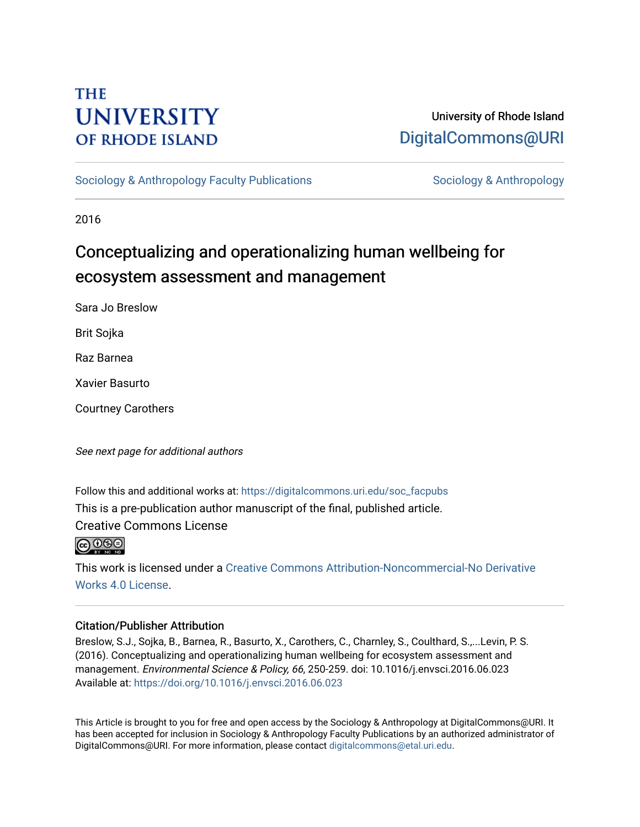## **THE UNIVERSITY OF RHODE ISLAND**

## University of Rhode Island [DigitalCommons@URI](https://digitalcommons.uri.edu/)

[Sociology & Anthropology Faculty Publications](https://digitalcommons.uri.edu/soc_facpubs) [Sociology & Anthropology](https://digitalcommons.uri.edu/soc) & Anthropology

2016

# Conceptualizing and operationalizing human wellbeing for ecosystem assessment and management

Sara Jo Breslow

Brit Sojka

Raz Barnea

Xavier Basurto

Courtney Carothers

See next page for additional authors

Follow this and additional works at: [https://digitalcommons.uri.edu/soc\\_facpubs](https://digitalcommons.uri.edu/soc_facpubs?utm_source=digitalcommons.uri.edu%2Fsoc_facpubs%2F30&utm_medium=PDF&utm_campaign=PDFCoverPages)  This is a pre-publication author manuscript of the final, published article. Creative Commons License

 $\bigcirc$   $\bigcirc$   $\bigcirc$ 

This work is licensed under a [Creative Commons Attribution-Noncommercial-No Derivative](https://creativecommons.org/licenses/by-nc-nd/4.0/)  [Works 4.0 License](https://creativecommons.org/licenses/by-nc-nd/4.0/).

## Citation/Publisher Attribution

Breslow, S.J., Sojka, B., Barnea, R., Basurto, X., Carothers, C., Charnley, S., Coulthard, S.,...Levin, P. S. (2016). Conceptualizing and operationalizing human wellbeing for ecosystem assessment and management. Environmental Science & Policy, 66, 250-259. doi: 10.1016/j.envsci.2016.06.023 Available at:<https://doi.org/10.1016/j.envsci.2016.06.023>

This Article is brought to you for free and open access by the Sociology & Anthropology at DigitalCommons@URI. It has been accepted for inclusion in Sociology & Anthropology Faculty Publications by an authorized administrator of DigitalCommons@URI. For more information, please contact [digitalcommons@etal.uri.edu.](mailto:digitalcommons@etal.uri.edu)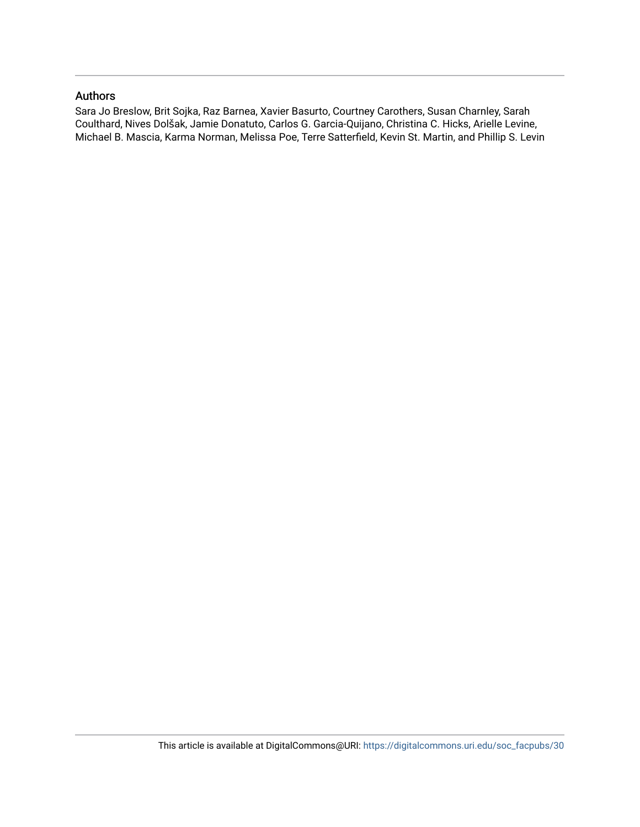## Authors

Sara Jo Breslow, Brit Sojka, Raz Barnea, Xavier Basurto, Courtney Carothers, Susan Charnley, Sarah Coulthard, Nives Dolšak, Jamie Donatuto, Carlos G. Garcia-Quijano, Christina C. Hicks, Arielle Levine, Michael B. Mascia, Karma Norman, Melissa Poe, Terre Satterfield, Kevin St. Martin, and Phillip S. Levin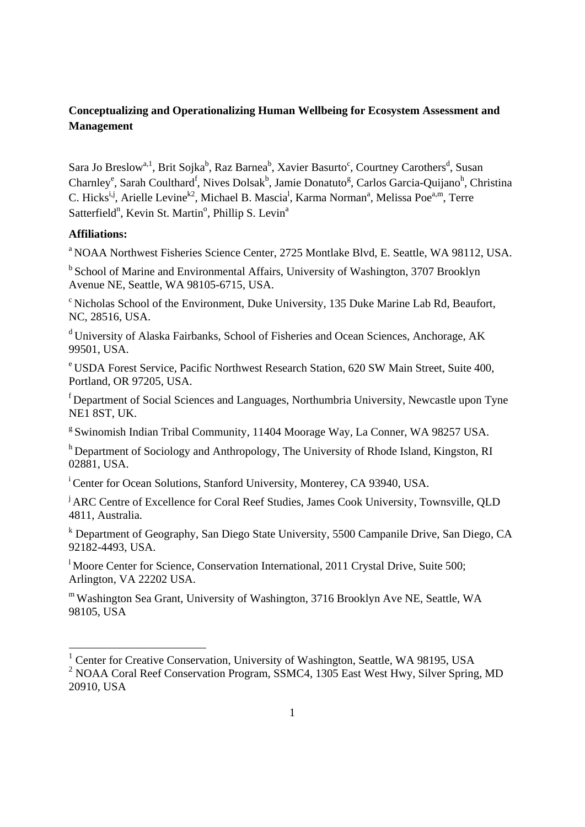## **Conceptualizing and Operationalizing Human Wellbeing for Ecosystem Assessment and Management**

Sara Jo Breslow<sup>a, 1</sup>, Brit Sojka<sup>b</sup>, Raz Barnea<sup>b</sup>, Xavier Basurto<sup>c</sup>, Courtney Carothers<sup>d</sup>, Susan Charnley<sup>e</sup>, Sarah Coulthard<sup>f</sup>, Nives Dolsak<sup>b</sup>, Jamie Donatuto<sup>g</sup>, Carlos Garcia-Quijano<sup>h</sup>, Christina C. Hicks<sup>i,j</sup>, Arielle Levine<sup>k2</sup>, Michael B. Mascia<sup>l</sup>, Karma Norman<sup>a</sup>, Melissa Poe<sup>a,m</sup>, Terre Satterfield<sup>n</sup>, Kevin St. Martin<sup>o</sup>, Phillip S. Levin<sup>a</sup>

## **Affiliations:**

-

<sup>a</sup> NOAA Northwest Fisheries Science Center, 2725 Montlake Blvd, E. Seattle, WA 98112, USA.

<sup>b</sup> School of Marine and Environmental Affairs, University of Washington, 3707 Brooklyn Avenue NE, Seattle, WA 98105-6715, USA.

<sup>c</sup> Nicholas School of the Environment, Duke University, 135 Duke Marine Lab Rd, Beaufort, NC, 28516, USA.

d University of Alaska Fairbanks, School of Fisheries and Ocean Sciences, Anchorage, AK 99501, USA.

e USDA Forest Service, Pacific Northwest Research Station, 620 SW Main Street, Suite 400, Portland, OR 97205, USA.

f Department of Social Sciences and Languages, Northumbria University, Newcastle upon Tyne NE1 8ST, UK.

g Swinomish Indian Tribal Community, 11404 Moorage Way, La Conner, WA 98257 USA.

<sup>h</sup> Department of Sociology and Anthropology, The University of Rhode Island, Kingston, RI 02881, USA.

<sup>i</sup> Center for Ocean Solutions, Stanford University, Monterey, CA 93940, USA.

<sup>j</sup> ARC Centre of Excellence for Coral Reef Studies, James Cook University, Townsville, QLD 4811, Australia.

<sup>k</sup> Department of Geography, San Diego State University, 5500 Campanile Drive, San Diego, CA 92182-4493, USA.

<sup>1</sup> Moore Center for Science, Conservation International, 2011 Crystal Drive, Suite 500; Arlington, VA 22202 USA.

m Washington Sea Grant, University of Washington, 3716 Brooklyn Ave NE, Seattle, WA 98105, USA

<sup>&</sup>lt;sup>1</sup> Center for Creative Conservation, University of Washington, Seattle, WA 98195, USA <sup>2</sup> NOAA Coral Reef Conservation Program, SSMC4, 1305 East West Hwy, Silver Spring, MD 20910, USA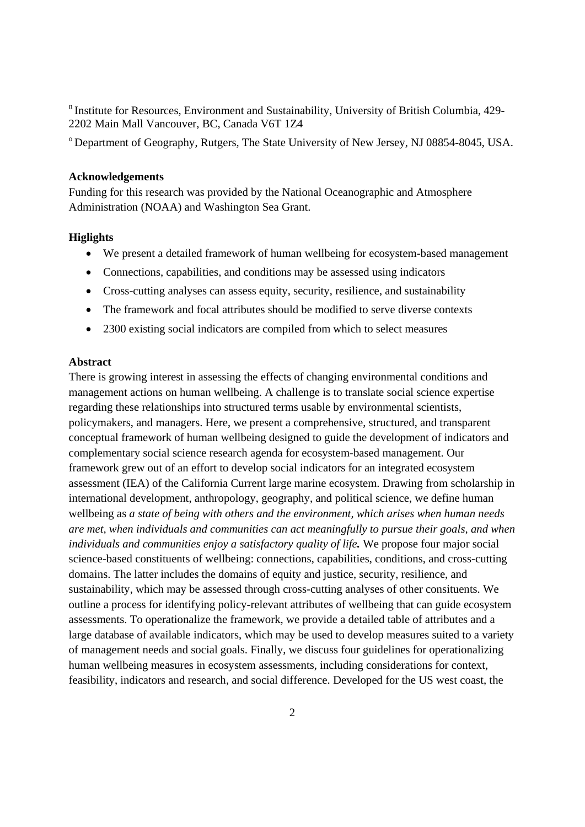<sup>n</sup> Institute for Resources, Environment and Sustainability, University of British Columbia, 429-2202 Main Mall Vancouver, BC, Canada V6T 1Z4

<sup>o</sup> Department of Geography, Rutgers, The State University of New Jersey, NJ 08854-8045, USA.

## **Acknowledgements**

Funding for this research was provided by the National Oceanographic and Atmosphere Administration (NOAA) and Washington Sea Grant.

## **Higlights**

- We present a detailed framework of human wellbeing for ecosystem-based management
- Connections, capabilities, and conditions may be assessed using indicators
- Cross-cutting analyses can assess equity, security, resilience, and sustainability
- The framework and focal attributes should be modified to serve diverse contexts
- 2300 existing social indicators are compiled from which to select measures

## **Abstract**

There is growing interest in assessing the effects of changing environmental conditions and management actions on human wellbeing. A challenge is to translate social science expertise regarding these relationships into structured terms usable by environmental scientists, policymakers, and managers. Here, we present a comprehensive, structured, and transparent conceptual framework of human wellbeing designed to guide the development of indicators and complementary social science research agenda for ecosystem-based management. Our framework grew out of an effort to develop social indicators for an integrated ecosystem assessment (IEA) of the California Current large marine ecosystem. Drawing from scholarship in international development, anthropology, geography, and political science, we define human wellbeing as *a state of being with others and the environment, which arises when human needs are met, when individuals and communities can act meaningfully to pursue their goals, and when individuals and communities enjoy a satisfactory quality of life.* We propose four major social science-based constituents of wellbeing: connections, capabilities, conditions, and cross-cutting domains. The latter includes the domains of equity and justice, security, resilience, and sustainability, which may be assessed through cross-cutting analyses of other consituents. We outline a process for identifying policy-relevant attributes of wellbeing that can guide ecosystem assessments. To operationalize the framework, we provide a detailed table of attributes and a large database of available indicators, which may be used to develop measures suited to a variety of management needs and social goals. Finally, we discuss four guidelines for operationalizing human wellbeing measures in ecosystem assessments, including considerations for context, feasibility, indicators and research, and social difference. Developed for the US west coast, the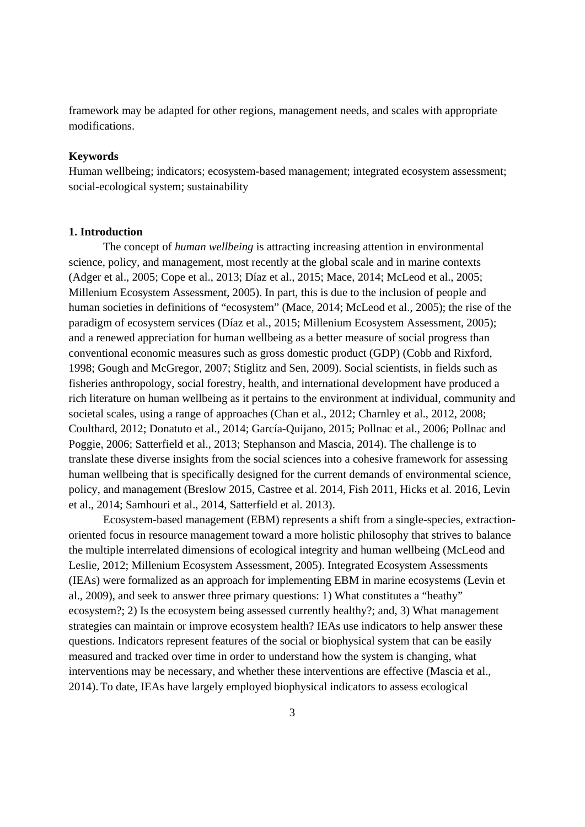framework may be adapted for other regions, management needs, and scales with appropriate modifications.

## **Keywords**

Human wellbeing; indicators; ecosystem-based management; integrated ecosystem assessment; social-ecological system; sustainability

## **1. Introduction**

The concept of *human wellbeing* is attracting increasing attention in environmental science, policy, and management, most recently at the global scale and in marine contexts (Adger et al., 2005; Cope et al., 2013; Díaz et al., 2015; Mace, 2014; McLeod et al., 2005; Millenium Ecosystem Assessment, 2005). In part, this is due to the inclusion of people and human societies in definitions of "ecosystem" (Mace, 2014; McLeod et al., 2005); the rise of the paradigm of ecosystem services (Díaz et al., 2015; Millenium Ecosystem Assessment, 2005); and a renewed appreciation for human wellbeing as a better measure of social progress than conventional economic measures such as gross domestic product (GDP) (Cobb and Rixford, 1998; Gough and McGregor, 2007; Stiglitz and Sen, 2009). Social scientists, in fields such as fisheries anthropology, social forestry, health, and international development have produced a rich literature on human wellbeing as it pertains to the environment at individual, community and societal scales, using a range of approaches (Chan et al., 2012; Charnley et al., 2012, 2008; Coulthard, 2012; Donatuto et al., 2014; García-Quijano, 2015; Pollnac et al., 2006; Pollnac and Poggie, 2006; Satterfield et al., 2013; Stephanson and Mascia, 2014). The challenge is to translate these diverse insights from the social sciences into a cohesive framework for assessing human wellbeing that is specifically designed for the current demands of environmental science, policy, and management (Breslow 2015, Castree et al. 2014, Fish 2011, Hicks et al. 2016, Levin et al., 2014; Samhouri et al., 2014, Satterfield et al. 2013).

Ecosystem-based management (EBM) represents a shift from a single-species, extractionoriented focus in resource management toward a more holistic philosophy that strives to balance the multiple interrelated dimensions of ecological integrity and human wellbeing (McLeod and Leslie, 2012; Millenium Ecosystem Assessment, 2005). Integrated Ecosystem Assessments (IEAs) were formalized as an approach for implementing EBM in marine ecosystems (Levin et al., 2009), and seek to answer three primary questions: 1) What constitutes a "heathy" ecosystem?; 2) Is the ecosystem being assessed currently healthy?; and, 3) What management strategies can maintain or improve ecosystem health? IEAs use indicators to help answer these questions. Indicators represent features of the social or biophysical system that can be easily measured and tracked over time in order to understand how the system is changing, what interventions may be necessary, and whether these interventions are effective (Mascia et al., 2014). To date, IEAs have largely employed biophysical indicators to assess ecological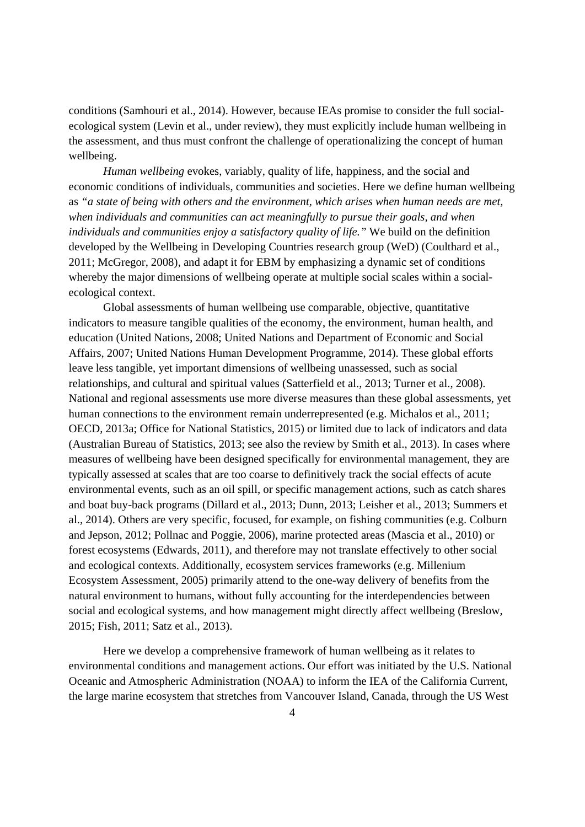conditions (Samhouri et al., 2014). However, because IEAs promise to consider the full socialecological system (Levin et al., under review), they must explicitly include human wellbeing in the assessment, and thus must confront the challenge of operationalizing the concept of human wellbeing.

*Human wellbeing* evokes, variably, quality of life, happiness, and the social and economic conditions of individuals, communities and societies. Here we define human wellbeing as *"a state of being with others and the environment, which arises when human needs are met, when individuals and communities can act meaningfully to pursue their goals, and when individuals and communities enjoy a satisfactory quality of life."* We build on the definition developed by the Wellbeing in Developing Countries research group (WeD) (Coulthard et al., 2011; McGregor, 2008), and adapt it for EBM by emphasizing a dynamic set of conditions whereby the major dimensions of wellbeing operate at multiple social scales within a socialecological context.

Global assessments of human wellbeing use comparable, objective, quantitative indicators to measure tangible qualities of the economy, the environment, human health, and education (United Nations, 2008; United Nations and Department of Economic and Social Affairs, 2007; United Nations Human Development Programme, 2014). These global efforts leave less tangible, yet important dimensions of wellbeing unassessed, such as social relationships, and cultural and spiritual values (Satterfield et al., 2013; Turner et al., 2008). National and regional assessments use more diverse measures than these global assessments, yet human connections to the environment remain underrepresented (e.g. Michalos et al., 2011; OECD, 2013a; Office for National Statistics, 2015) or limited due to lack of indicators and data (Australian Bureau of Statistics, 2013; see also the review by Smith et al., 2013). In cases where measures of wellbeing have been designed specifically for environmental management, they are typically assessed at scales that are too coarse to definitively track the social effects of acute environmental events, such as an oil spill, or specific management actions, such as catch shares and boat buy-back programs (Dillard et al., 2013; Dunn, 2013; Leisher et al., 2013; Summers et al., 2014). Others are very specific, focused, for example, on fishing communities (e.g. Colburn and Jepson, 2012; Pollnac and Poggie, 2006), marine protected areas (Mascia et al., 2010) or forest ecosystems (Edwards, 2011), and therefore may not translate effectively to other social and ecological contexts. Additionally, ecosystem services frameworks (e.g. Millenium Ecosystem Assessment, 2005) primarily attend to the one-way delivery of benefits from the natural environment to humans, without fully accounting for the interdependencies between social and ecological systems, and how management might directly affect wellbeing (Breslow, 2015; Fish, 2011; Satz et al., 2013).

Here we develop a comprehensive framework of human wellbeing as it relates to environmental conditions and management actions. Our effort was initiated by the U.S. National Oceanic and Atmospheric Administration (NOAA) to inform the IEA of the California Current, the large marine ecosystem that stretches from Vancouver Island, Canada, through the US West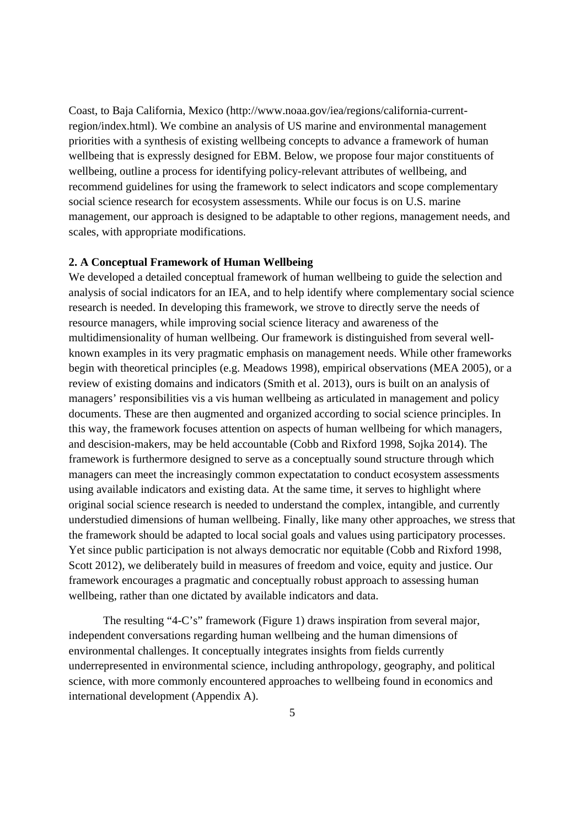Coast, to Baja California, Mexico (http://www.noaa.gov/iea/regions/california-currentregion/index.html). We combine an analysis of US marine and environmental management priorities with a synthesis of existing wellbeing concepts to advance a framework of human wellbeing that is expressly designed for EBM. Below, we propose four major constituents of wellbeing, outline a process for identifying policy-relevant attributes of wellbeing, and recommend guidelines for using the framework to select indicators and scope complementary social science research for ecosystem assessments. While our focus is on U.S. marine management, our approach is designed to be adaptable to other regions, management needs, and scales, with appropriate modifications.

#### **2. A Conceptual Framework of Human Wellbeing**

We developed a detailed conceptual framework of human wellbeing to guide the selection and analysis of social indicators for an IEA, and to help identify where complementary social science research is needed. In developing this framework, we strove to directly serve the needs of resource managers, while improving social science literacy and awareness of the multidimensionality of human wellbeing. Our framework is distinguished from several wellknown examples in its very pragmatic emphasis on management needs. While other frameworks begin with theoretical principles (e.g. Meadows 1998), empirical observations (MEA 2005), or a review of existing domains and indicators (Smith et al. 2013), ours is built on an analysis of managers' responsibilities vis a vis human wellbeing as articulated in management and policy documents. These are then augmented and organized according to social science principles. In this way, the framework focuses attention on aspects of human wellbeing for which managers, and descision-makers, may be held accountable (Cobb and Rixford 1998, Sojka 2014). The framework is furthermore designed to serve as a conceptually sound structure through which managers can meet the increasingly common expectatation to conduct ecosystem assessments using available indicators and existing data. At the same time, it serves to highlight where original social science research is needed to understand the complex, intangible, and currently understudied dimensions of human wellbeing. Finally, like many other approaches, we stress that the framework should be adapted to local social goals and values using participatory processes. Yet since public participation is not always democratic nor equitable (Cobb and Rixford 1998, Scott 2012), we deliberately build in measures of freedom and voice, equity and justice. Our framework encourages a pragmatic and conceptually robust approach to assessing human wellbeing, rather than one dictated by available indicators and data.

The resulting "4-C's" framework (Figure 1) draws inspiration from several major, independent conversations regarding human wellbeing and the human dimensions of environmental challenges. It conceptually integrates insights from fields currently underrepresented in environmental science, including anthropology, geography, and political science, with more commonly encountered approaches to wellbeing found in economics and international development (Appendix A).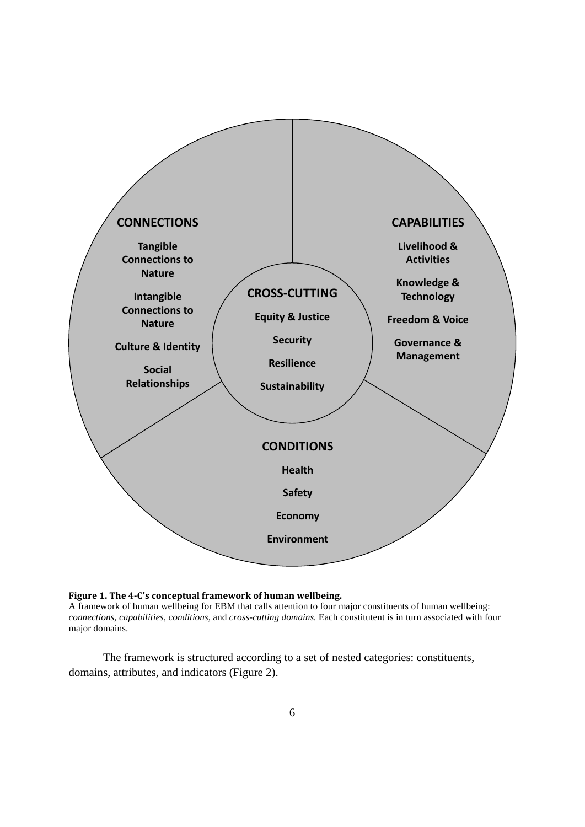

#### **Figure 1. The 4‐C's conceptual framework of human wellbeing.**

A framework of human wellbeing for EBM that calls attention to four major constituents of human wellbeing: *connections, capabilities, conditions,* and *cross-cutting domains.* Each constitutent is in turn associated with four major domains.

The framework is structured according to a set of nested categories: constituents, domains, attributes, and indicators (Figure 2).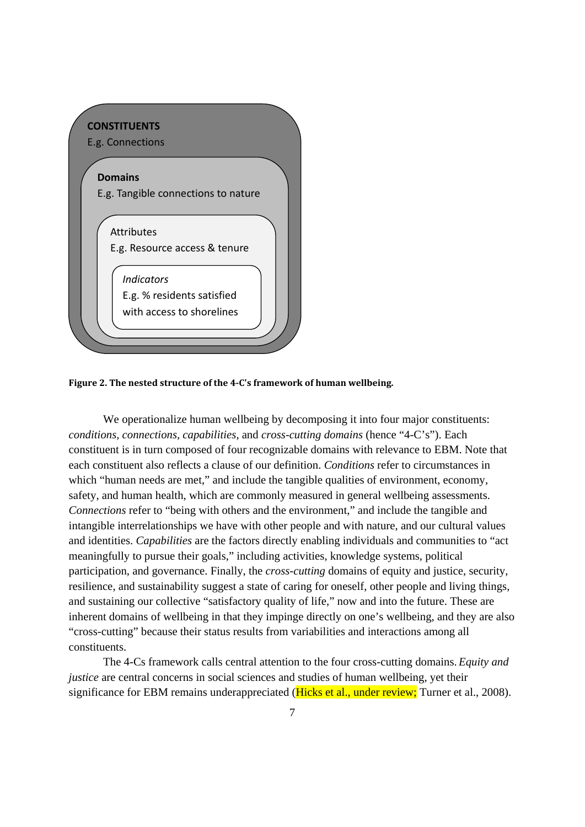



We operationalize human wellbeing by decomposing it into four major constituents: *conditions, connections, capabilities*, and *cross-cutting domains* (hence "4-C's"). Each constituent is in turn composed of four recognizable domains with relevance to EBM. Note that each constituent also reflects a clause of our definition. *Conditions* refer to circumstances in which "human needs are met," and include the tangible qualities of environment, economy, safety, and human health, which are commonly measured in general wellbeing assessments. *Connections* refer to "being with others and the environment," and include the tangible and intangible interrelationships we have with other people and with nature, and our cultural values and identities. *Capabilities* are the factors directly enabling individuals and communities to "act meaningfully to pursue their goals," including activities, knowledge systems, political participation, and governance. Finally, the *cross-cutting* domains of equity and justice, security, resilience, and sustainability suggest a state of caring for oneself, other people and living things, and sustaining our collective "satisfactory quality of life," now and into the future. These are inherent domains of wellbeing in that they impinge directly on one's wellbeing, and they are also "cross-cutting" because their status results from variabilities and interactions among all constituents.

The 4-Cs framework calls central attention to the four cross-cutting domains. *Equity and justice* are central concerns in social sciences and studies of human wellbeing, yet their significance for EBM remains underappreciated (Hicks et al., under review; Turner et al., 2008).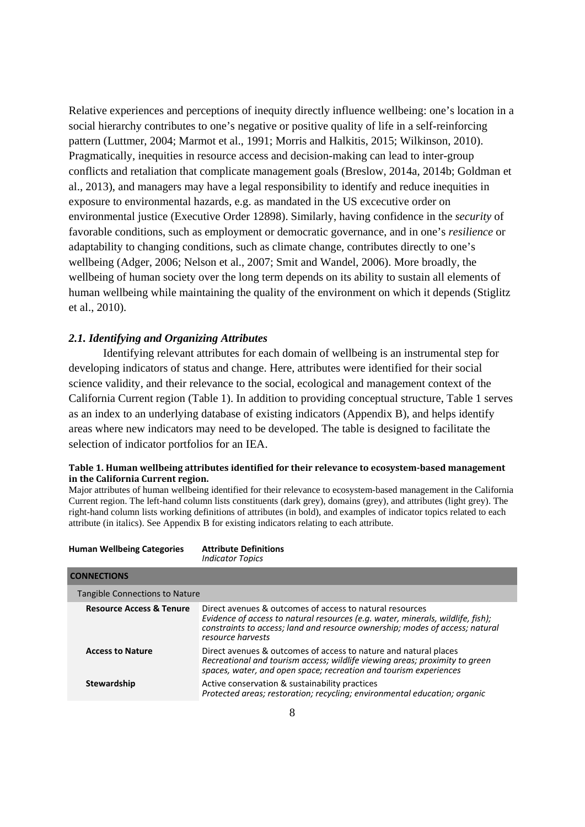Relative experiences and perceptions of inequity directly influence wellbeing: one's location in a social hierarchy contributes to one's negative or positive quality of life in a self-reinforcing pattern (Luttmer, 2004; Marmot et al., 1991; Morris and Halkitis, 2015; Wilkinson, 2010). Pragmatically, inequities in resource access and decision-making can lead to inter-group conflicts and retaliation that complicate management goals (Breslow, 2014a, 2014b; Goldman et al., 2013), and managers may have a legal responsibility to identify and reduce inequities in exposure to environmental hazards, e.g. as mandated in the US excecutive order on environmental justice (Executive Order 12898). Similarly, having confidence in the *security* of favorable conditions, such as employment or democratic governance, and in one's *resilience* or adaptability to changing conditions, such as climate change, contributes directly to one's wellbeing (Adger, 2006; Nelson et al., 2007; Smit and Wandel, 2006). More broadly, the wellbeing of human society over the long term depends on its ability to sustain all elements of human wellbeing while maintaining the quality of the environment on which it depends (Stiglitz et al., 2010).

## *2.1. Identifying and Organizing Attributes*

Identifying relevant attributes for each domain of wellbeing is an instrumental step for developing indicators of status and change. Here, attributes were identified for their social science validity, and their relevance to the social, ecological and management context of the California Current region (Table 1). In addition to providing conceptual structure, Table 1 serves as an index to an underlying database of existing indicators (Appendix B), and helps identify areas where new indicators may need to be developed. The table is designed to facilitate the selection of indicator portfolios for an IEA.

### **Table 1. Human wellbeing attributes identified for their relevance to ecosystem‐based management in the California Current region.**

Major attributes of human wellbeing identified for their relevance to ecosystem-based management in the California Current region. The left-hand column lists constituents (dark grey), domains (grey), and attributes (light grey). The right-hand column lists working definitions of attributes (in bold), and examples of indicator topics related to each attribute (in italics). See Appendix B for existing indicators relating to each attribute.

| <b>Human Wellbeing Categories</b>   | <b>Attribute Definitions</b><br><b>Indicator Topics</b>                                                                                                                                                                                          |  |
|-------------------------------------|--------------------------------------------------------------------------------------------------------------------------------------------------------------------------------------------------------------------------------------------------|--|
| <b>CONNECTIONS</b>                  |                                                                                                                                                                                                                                                  |  |
| Tangible Connections to Nature      |                                                                                                                                                                                                                                                  |  |
| <b>Resource Access &amp; Tenure</b> | Direct avenues & outcomes of access to natural resources<br>Evidence of access to natural resources (e.g. water, minerals, wildlife, fish);<br>constraints to access; land and resource ownership; modes of access; natural<br>resource harvests |  |
| <b>Access to Nature</b>             | Direct avenues & outcomes of access to nature and natural places<br>Recreational and tourism access; wildlife viewing areas; proximity to green<br>spaces, water, and open space; recreation and tourism experiences                             |  |
| Stewardship                         | Active conservation & sustainability practices<br>Protected areas; restoration; recycling; environmental education; organic                                                                                                                      |  |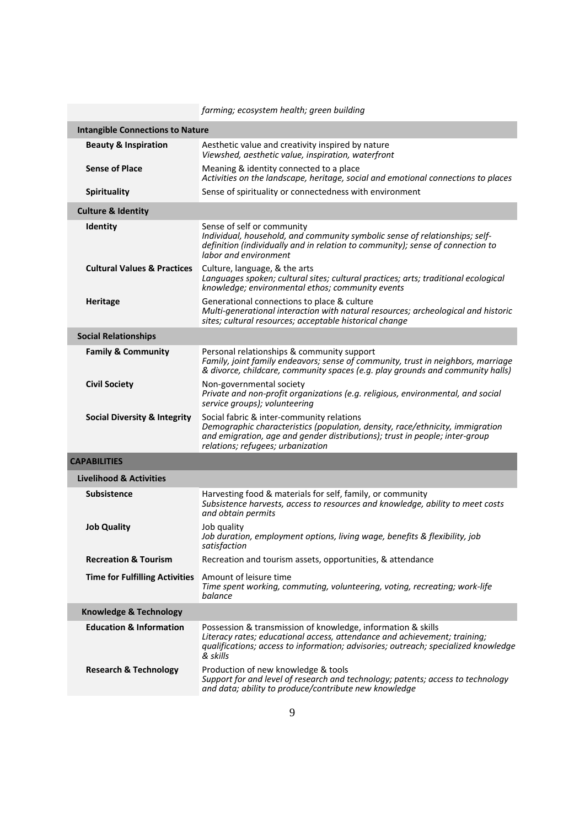|                                         | farming; ecosystem health; green building                                                                                                                                                                                                      |  |
|-----------------------------------------|------------------------------------------------------------------------------------------------------------------------------------------------------------------------------------------------------------------------------------------------|--|
| <b>Intangible Connections to Nature</b> |                                                                                                                                                                                                                                                |  |
| <b>Beauty &amp; Inspiration</b>         | Aesthetic value and creativity inspired by nature<br>Viewshed, aesthetic value, inspiration, waterfront                                                                                                                                        |  |
| <b>Sense of Place</b>                   | Meaning & identity connected to a place<br>Activities on the landscape, heritage, social and emotional connections to places                                                                                                                   |  |
| <b>Spirituality</b>                     | Sense of spirituality or connectedness with environment                                                                                                                                                                                        |  |
| <b>Culture &amp; Identity</b>           |                                                                                                                                                                                                                                                |  |
| <b>Identity</b>                         | Sense of self or community<br>Individual, household, and community symbolic sense of relationships; self-<br>definition (individually and in relation to community); sense of connection to<br>labor and environment                           |  |
| <b>Cultural Values &amp; Practices</b>  | Culture, language, & the arts<br>Languages spoken; cultural sites; cultural practices; arts; traditional ecological<br>knowledge; environmental ethos; community events                                                                        |  |
| <b>Heritage</b>                         | Generational connections to place & culture<br>Multi-generational interaction with natural resources; archeological and historic<br>sites; cultural resources; acceptable historical change                                                    |  |
| <b>Social Relationships</b>             |                                                                                                                                                                                                                                                |  |
| <b>Family &amp; Community</b>           | Personal relationships & community support<br>Family, joint family endeavors; sense of community, trust in neighbors, marriage<br>& divorce, childcare, community spaces (e.g. play grounds and community halls)                               |  |
| <b>Civil Society</b>                    | Non-governmental society<br>Private and non-profit organizations (e.g. religious, environmental, and social<br>service groups); volunteering                                                                                                   |  |
| <b>Social Diversity &amp; Integrity</b> | Social fabric & inter-community relations<br>Demographic characteristics (population, density, race/ethnicity, immigration<br>and emigration, age and gender distributions); trust in people; inter-group<br>relations; refugees; urbanization |  |
| <b>CAPABILITIES</b>                     |                                                                                                                                                                                                                                                |  |
| <b>Livelihood &amp; Activities</b>      |                                                                                                                                                                                                                                                |  |
| <b>Subsistence</b>                      | Harvesting food & materials for self, family, or community<br>Subsistence harvests, access to resources and knowledge, ability to meet costs<br>and obtain permits                                                                             |  |
| <b>Job Quality</b>                      | Job quality<br>Job duration, employment options, living wage, benefits & flexibility, job<br>satisfaction                                                                                                                                      |  |
| <b>Recreation &amp; Tourism</b>         | Recreation and tourism assets, opportunities, & attendance                                                                                                                                                                                     |  |
| <b>Time for Fulfilling Activities</b>   | Amount of leisure time<br>Time spent working, commuting, volunteering, voting, recreating; work-life<br>balance                                                                                                                                |  |
| <b>Knowledge &amp; Technology</b>       |                                                                                                                                                                                                                                                |  |
| <b>Education &amp; Information</b>      | Possession & transmission of knowledge, information & skills<br>Literacy rates; educational access, attendance and achievement; training;<br>qualifications; access to information; advisories; outreach; specialized knowledge<br>& skills    |  |
| <b>Research &amp; Technology</b>        | Production of new knowledge & tools<br>Support for and level of research and technology; patents; access to technology<br>and data; ability to produce/contribute new knowledge                                                                |  |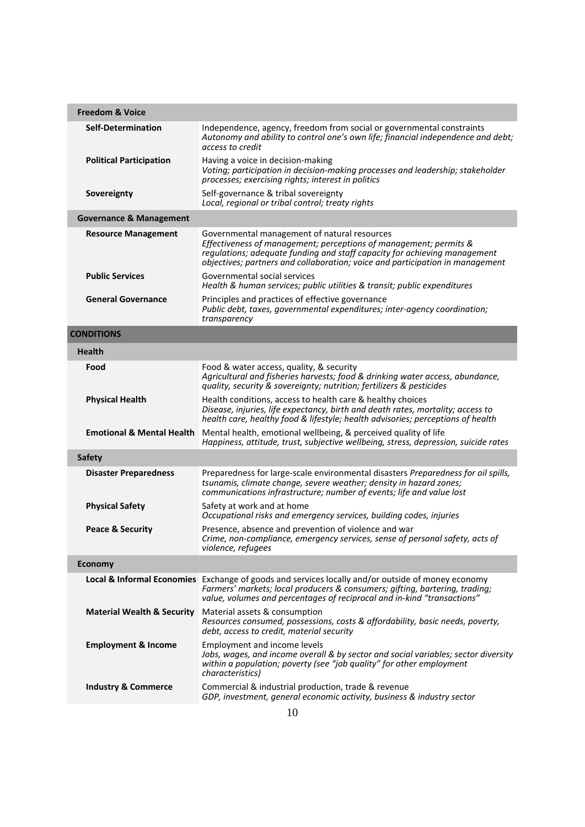| <b>Freedom &amp; Voice</b>            |                                                                                                                                                                                                                                                                                 |
|---------------------------------------|---------------------------------------------------------------------------------------------------------------------------------------------------------------------------------------------------------------------------------------------------------------------------------|
| <b>Self-Determination</b>             | Independence, agency, freedom from social or governmental constraints<br>Autonomy and ability to control one's own life; financial independence and debt;<br>access to credit                                                                                                   |
| <b>Political Participation</b>        | Having a voice in decision-making<br>Voting; participation in decision-making processes and leadership; stakeholder<br>processes; exercising rights; interest in politics                                                                                                       |
| Sovereignty                           | Self-governance & tribal sovereignty<br>Local, regional or tribal control; treaty rights                                                                                                                                                                                        |
| <b>Governance &amp; Management</b>    |                                                                                                                                                                                                                                                                                 |
| <b>Resource Management</b>            | Governmental management of natural resources<br>Effectiveness of management; perceptions of management; permits &<br>regulations; adequate funding and staff capacity for achieving management<br>objectives; partners and collaboration; voice and participation in management |
| <b>Public Services</b>                | Governmental social services<br>Health & human services; public utilities & transit; public expenditures                                                                                                                                                                        |
| <b>General Governance</b>             | Principles and practices of effective governance<br>Public debt, taxes, governmental expenditures; inter-agency coordination;<br>transparency                                                                                                                                   |
| <b>CONDITIONS</b>                     |                                                                                                                                                                                                                                                                                 |
| <b>Health</b>                         |                                                                                                                                                                                                                                                                                 |
| Food                                  | Food & water access, quality, & security<br>Agricultural and fisheries harvests; food & drinking water access, abundance,<br>quality, security & sovereignty; nutrition; fertilizers & pesticides                                                                               |
| <b>Physical Health</b>                | Health conditions, access to health care & healthy choices<br>Disease, injuries, life expectancy, birth and death rates, mortality; access to<br>health care, healthy food & lifestyle; health advisories; perceptions of health                                                |
|                                       | Emotional & Mental Health Mental health, emotional wellbeing, & perceived quality of life<br>Happiness, attitude, trust, subjective wellbeing, stress, depression, suicide rates                                                                                                |
| <b>Safety</b>                         |                                                                                                                                                                                                                                                                                 |
| <b>Disaster Preparedness</b>          | Preparedness for large-scale environmental disasters Preparedness for oil spills,<br>tsunamis, climate change, severe weather; density in hazard zones;<br>communications infrastructure; number of events; life and value lost                                                 |
| <b>Physical Safety</b>                | Safety at work and at home<br>Occupational risks and emergency services, building codes, injuries                                                                                                                                                                               |
| <b>Peace &amp; Security</b>           | Presence, absence and prevention of violence and war<br>Crime, non-compliance, emergency services, sense of personal safety, acts of<br>violence, refugees                                                                                                                      |
| <b>Economy</b>                        |                                                                                                                                                                                                                                                                                 |
|                                       | Local & Informal Economies Exchange of goods and services locally and/or outside of money economy<br>Farmers' markets; local producers & consumers; gifting, bartering, trading;<br>value, volumes and percentages of reciprocal and in-kind "transactions"                     |
| <b>Material Wealth &amp; Security</b> | Material assets & consumption<br>Resources consumed, possessions, costs & affordability, basic needs, poverty,<br>debt, access to credit, material security                                                                                                                     |
| <b>Employment &amp; Income</b>        | <b>Employment and income levels</b><br>Jobs, wages, and income overall & by sector and social variables; sector diversity<br>within a population; poverty (see "job quality" for other employment<br>characteristics)                                                           |
| <b>Industry &amp; Commerce</b>        | Commercial & industrial production, trade & revenue<br>GDP, investment, general economic activity, business & industry sector                                                                                                                                                   |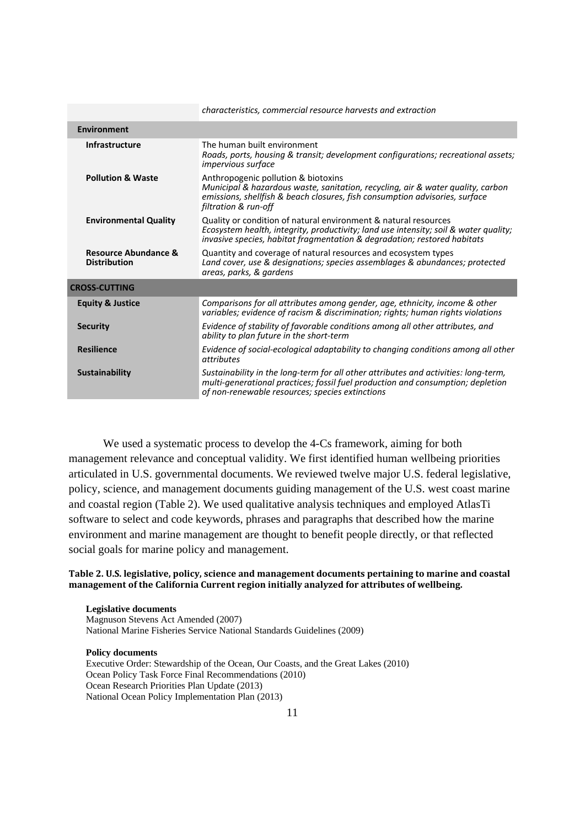|                                                        | characteristics, commercial resource harvests and extraction                                                                                                                                                                        |
|--------------------------------------------------------|-------------------------------------------------------------------------------------------------------------------------------------------------------------------------------------------------------------------------------------|
| <b>Environment</b>                                     |                                                                                                                                                                                                                                     |
| Infrastructure                                         | The human built environment<br>Roads, ports, housing & transit; development configurations; recreational assets;<br><i>impervious surface</i>                                                                                       |
| <b>Pollution &amp; Waste</b>                           | Anthropogenic pollution & biotoxins<br>Municipal & hazardous waste, sanitation, recycling, air & water quality, carbon<br>emissions, shellfish & beach closures, fish consumption advisories, surface<br>filtration & run-off       |
| <b>Environmental Quality</b>                           | Quality or condition of natural environment & natural resources<br>Ecosystem health, integrity, productivity; land use intensity; soil & water quality;<br>invasive species, habitat fragmentation & degradation; restored habitats |
| <b>Resource Abundance &amp;</b><br><b>Distribution</b> | Quantity and coverage of natural resources and ecosystem types<br>Land cover, use & designations; species assemblages & abundances; protected<br>areas, parks, & gardens                                                            |
| <b>CROSS-CUTTING</b>                                   |                                                                                                                                                                                                                                     |
| <b>Equity &amp; Justice</b>                            | Comparisons for all attributes among gender, age, ethnicity, income & other<br>variables; evidence of racism & discrimination; rights; human rights violations                                                                      |
| <b>Security</b>                                        | Evidence of stability of favorable conditions among all other attributes, and<br>ability to plan future in the short-term                                                                                                           |
| <b>Resilience</b>                                      | Evidence of social-ecological adaptability to changing conditions among all other<br>attributes                                                                                                                                     |
| <b>Sustainability</b>                                  | Sustainability in the long-term for all other attributes and activities: long-term,<br>multi-generational practices; fossil fuel production and consumption; depletion<br>of non-renewable resources; species extinctions           |

We used a systematic process to develop the 4-Cs framework, aiming for both management relevance and conceptual validity. We first identified human wellbeing priorities articulated in U.S. governmental documents. We reviewed twelve major U.S. federal legislative, policy, science, and management documents guiding management of the U.S. west coast marine and coastal region (Table 2). We used qualitative analysis techniques and employed AtlasTi software to select and code keywords, phrases and paragraphs that described how the marine environment and marine management are thought to benefit people directly, or that reflected social goals for marine policy and management.

### **Table 2. U.S. legislative, policy, science and management documents pertaining to marine and coastal management of the California Current region initially analyzed for attributes of wellbeing.**

**Legislative documents**  Magnuson Stevens Act Amended (2007) National Marine Fisheries Service National Standards Guidelines (2009)

**Policy documents**  Executive Order: Stewardship of the Ocean, Our Coasts, and the Great Lakes (2010) Ocean Policy Task Force Final Recommendations (2010) Ocean Research Priorities Plan Update (2013) National Ocean Policy Implementation Plan (2013)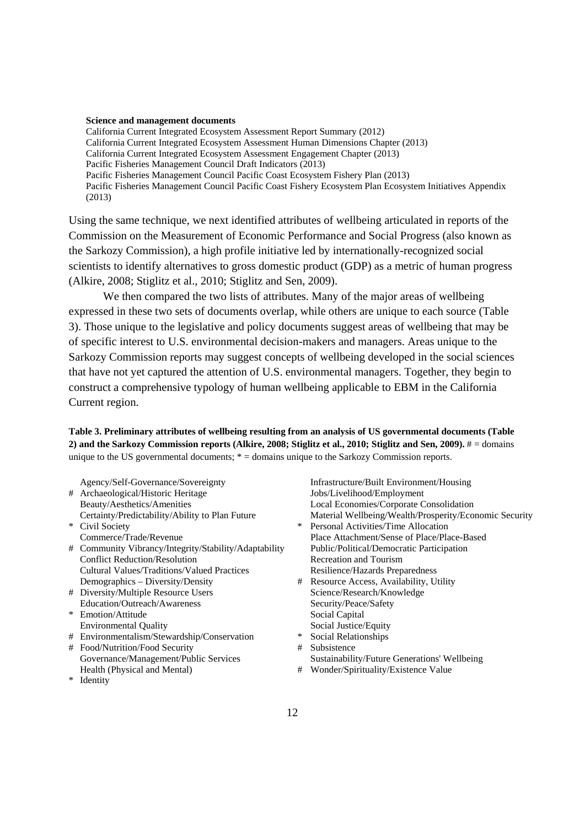#### **Science and management documents**

California Current Integrated Ecosystem Assessment Report Summary (2012) California Current Integrated Ecosystem Assessment Human Dimensions Chapter (2013) California Current Integrated Ecosystem Assessment Engagement Chapter (2013) Pacific Fisheries Management Council Draft Indicators (2013) Pacific Fisheries Management Council Pacific Coast Ecosystem Fishery Plan (2013) Pacific Fisheries Management Council Pacific Coast Fishery Ecosystem Plan Ecosystem Initiatives Appendix (2013)

Using the same technique, we next identified attributes of wellbeing articulated in reports of the Commission on the Measurement of Economic Performance and Social Progress (also known as the Sarkozy Commission), a high profile initiative led by internationally-recognized social scientists to identify alternatives to gross domestic product (GDP) as a metric of human progress (Alkire, 2008; Stiglitz et al., 2010; Stiglitz and Sen, 2009).

We then compared the two lists of attributes. Many of the major areas of wellbeing expressed in these two sets of documents overlap, while others are unique to each source (Table 3). Those unique to the legislative and policy documents suggest areas of wellbeing that may be of specific interest to U.S. environmental decision-makers and managers. Areas unique to the Sarkozy Commission reports may suggest concepts of wellbeing developed in the social sciences that have not yet captured the attention of U.S. environmental managers. Together, they begin to construct a comprehensive typology of human wellbeing applicable to EBM in the California Current region.

**Table 3. Preliminary attributes of wellbeing resulting from an analysis of US governmental documents (Table 2) and the Sarkozy Commission reports (Alkire, 2008; Stiglitz et al., 2010; Stiglitz and Sen, 2009).**  $\#$  = domains unique to the US governmental documents; \* = domains unique to the Sarkozy Commission reports.

- # Archaeological/Historic Heritage Jobs/Livelihood/Employment
- \* Civil Society \* Personal Activities/Time Allocation
- # Community Vibrancy/Integrity/Stability/Adaptability Public/Political/Democratic Participation Conflict Reduction/Resolution Recreation and Tourism Cultural Values/Traditions/Valued Practices Resilience/Hazards Preparedness Demographics – Diversity/Density **# Resource Access, Availability, Utility**
- # Diversity/Multiple Resource Users Science/Research/Knowledge Education/Outreach/Awareness Security/Peace/Safety
- \* Emotion/Attitude Social Capital Environmental Quality Social Justice/Equity
- # Environmentalism/Stewardship/Conservation \* Social Relationships
- # Food/Nutrition/Food Security # Subsistence Health (Physical and Mental)  $\qquad \qquad \qquad \qquad$  Wonder/Spirituality/Existence Value
- \* Identity

 Agency/Self-Governance/Sovereignty Infrastructure/Built Environment/Housing Beauty/Aesthetics/Amenities Local Economies/Corporate Consolidation Certainty/Predictability/Ability to Plan Future Material Wellbeing/Wealth/Prosperity/Economic Security

- Commerce/Trade/Revenue Place Attachment/Sense of Place/Place-Based
	-
	-
	-
- Governance/Management/Public Services Sustainability/Future Generations' Wellbeing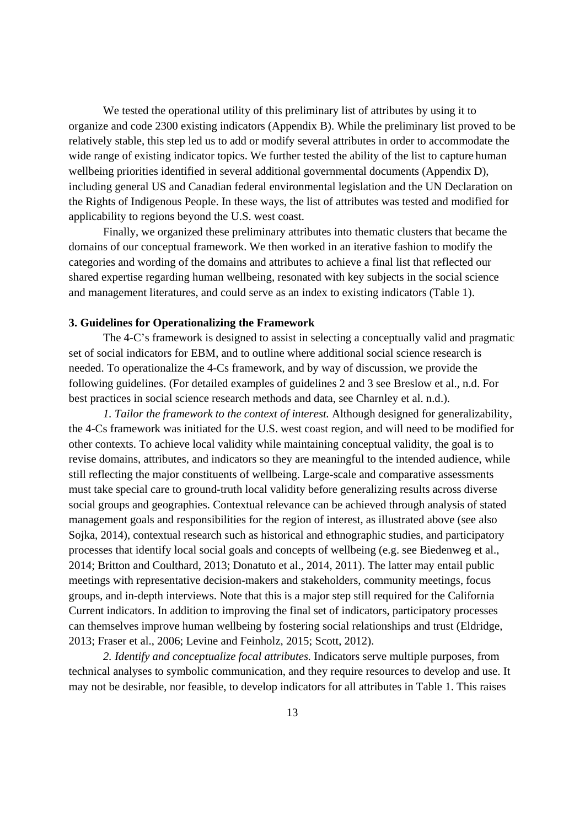We tested the operational utility of this preliminary list of attributes by using it to organize and code 2300 existing indicators (Appendix B). While the preliminary list proved to be relatively stable, this step led us to add or modify several attributes in order to accommodate the wide range of existing indicator topics. We further tested the ability of the list to capture human wellbeing priorities identified in several additional governmental documents (Appendix D), including general US and Canadian federal environmental legislation and the UN Declaration on the Rights of Indigenous People. In these ways, the list of attributes was tested and modified for applicability to regions beyond the U.S. west coast.

Finally, we organized these preliminary attributes into thematic clusters that became the domains of our conceptual framework. We then worked in an iterative fashion to modify the categories and wording of the domains and attributes to achieve a final list that reflected our shared expertise regarding human wellbeing, resonated with key subjects in the social science and management literatures, and could serve as an index to existing indicators (Table 1).

#### **3. Guidelines for Operationalizing the Framework**

The 4-C's framework is designed to assist in selecting a conceptually valid and pragmatic set of social indicators for EBM, and to outline where additional social science research is needed. To operationalize the 4-Cs framework, and by way of discussion, we provide the following guidelines. (For detailed examples of guidelines 2 and 3 see Breslow et al., n.d. For best practices in social science research methods and data, see Charnley et al. n.d.).

*1. Tailor the framework to the context of interest.* Although designed for generalizability, the 4-Cs framework was initiated for the U.S. west coast region, and will need to be modified for other contexts. To achieve local validity while maintaining conceptual validity, the goal is to revise domains, attributes, and indicators so they are meaningful to the intended audience, while still reflecting the major constituents of wellbeing. Large-scale and comparative assessments must take special care to ground-truth local validity before generalizing results across diverse social groups and geographies. Contextual relevance can be achieved through analysis of stated management goals and responsibilities for the region of interest, as illustrated above (see also Sojka, 2014), contextual research such as historical and ethnographic studies, and participatory processes that identify local social goals and concepts of wellbeing (e.g. see Biedenweg et al., 2014; Britton and Coulthard, 2013; Donatuto et al., 2014, 2011). The latter may entail public meetings with representative decision-makers and stakeholders, community meetings, focus groups, and in-depth interviews. Note that this is a major step still required for the California Current indicators. In addition to improving the final set of indicators, participatory processes can themselves improve human wellbeing by fostering social relationships and trust (Eldridge, 2013; Fraser et al., 2006; Levine and Feinholz, 2015; Scott, 2012).

*2. Identify and conceptualize focal attributes.* Indicators serve multiple purposes, from technical analyses to symbolic communication, and they require resources to develop and use. It may not be desirable, nor feasible, to develop indicators for all attributes in Table 1. This raises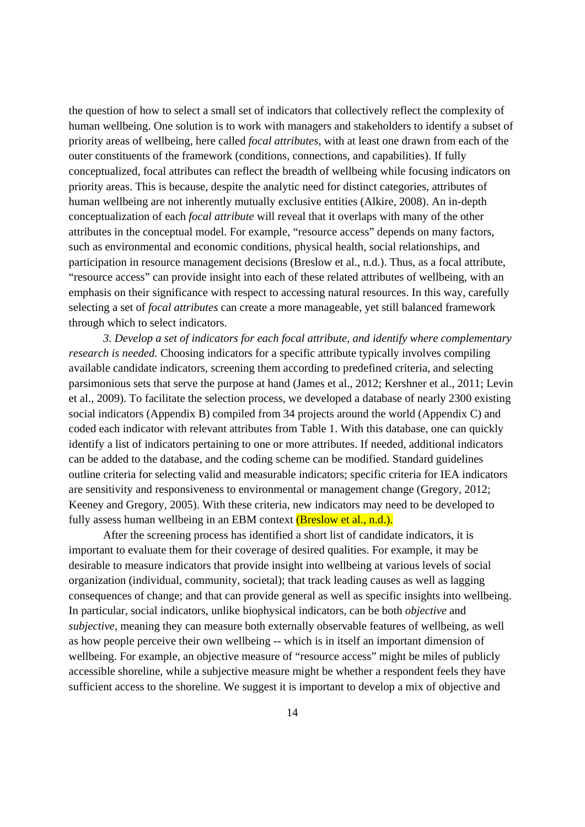the question of how to select a small set of indicators that collectively reflect the complexity of human wellbeing. One solution is to work with managers and stakeholders to identify a subset of priority areas of wellbeing, here called *focal attributes*, with at least one drawn from each of the outer constituents of the framework (conditions, connections, and capabilities). If fully conceptualized, focal attributes can reflect the breadth of wellbeing while focusing indicators on priority areas. This is because, despite the analytic need for distinct categories, attributes of human wellbeing are not inherently mutually exclusive entities (Alkire, 2008). An in-depth conceptualization of each *focal attribute* will reveal that it overlaps with many of the other attributes in the conceptual model. For example, "resource access" depends on many factors, such as environmental and economic conditions, physical health, social relationships, and participation in resource management decisions (Breslow et al., n.d.). Thus, as a focal attribute, "resource access" can provide insight into each of these related attributes of wellbeing, with an emphasis on their significance with respect to accessing natural resources. In this way, carefully selecting a set of *focal attributes* can create a more manageable, yet still balanced framework through which to select indicators.

*3. Develop a set of indicators for each focal attribute, and identify where complementary research is needed.* Choosing indicators for a specific attribute typically involves compiling available candidate indicators, screening them according to predefined criteria, and selecting parsimonious sets that serve the purpose at hand (James et al., 2012; Kershner et al., 2011; Levin et al., 2009). To facilitate the selection process, we developed a database of nearly 2300 existing social indicators (Appendix B) compiled from 34 projects around the world (Appendix C) and coded each indicator with relevant attributes from Table 1. With this database, one can quickly identify a list of indicators pertaining to one or more attributes. If needed, additional indicators can be added to the database, and the coding scheme can be modified. Standard guidelines outline criteria for selecting valid and measurable indicators; specific criteria for IEA indicators are sensitivity and responsiveness to environmental or management change (Gregory, 2012; Keeney and Gregory, 2005). With these criteria, new indicators may need to be developed to fully assess human wellbeing in an EBM context (Breslow et al., n.d.).

After the screening process has identified a short list of candidate indicators, it is important to evaluate them for their coverage of desired qualities. For example, it may be desirable to measure indicators that provide insight into wellbeing at various levels of social organization (individual, community, societal); that track leading causes as well as lagging consequences of change; and that can provide general as well as specific insights into wellbeing. In particular, social indicators, unlike biophysical indicators, can be both *objective* and *subjective*, meaning they can measure both externally observable features of wellbeing, as well as how people perceive their own wellbeing -- which is in itself an important dimension of wellbeing. For example, an objective measure of "resource access" might be miles of publicly accessible shoreline, while a subjective measure might be whether a respondent feels they have sufficient access to the shoreline. We suggest it is important to develop a mix of objective and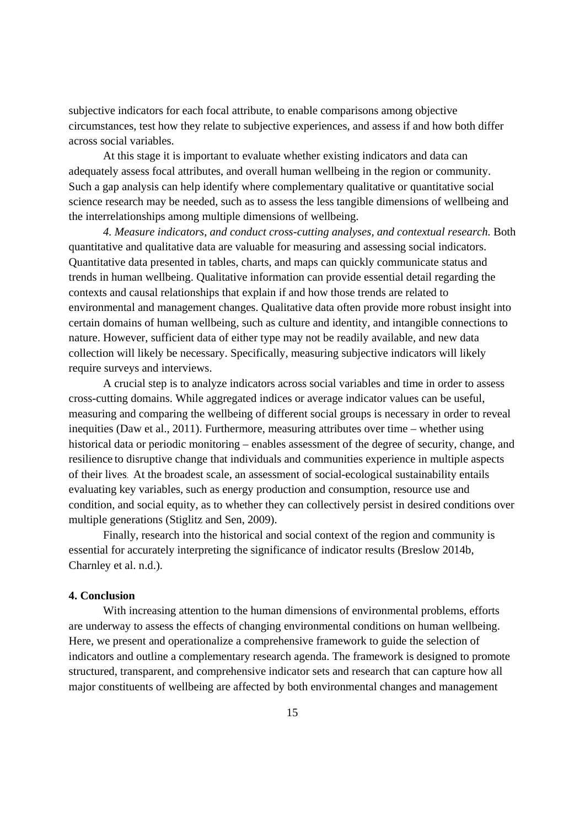subjective indicators for each focal attribute, to enable comparisons among objective circumstances, test how they relate to subjective experiences, and assess if and how both differ across social variables.

At this stage it is important to evaluate whether existing indicators and data can adequately assess focal attributes, and overall human wellbeing in the region or community. Such a gap analysis can help identify where complementary qualitative or quantitative social science research may be needed, such as to assess the less tangible dimensions of wellbeing and the interrelationships among multiple dimensions of wellbeing.

*4. Measure indicators, and conduct cross-cutting analyses, and contextual research.* Both quantitative and qualitative data are valuable for measuring and assessing social indicators. Quantitative data presented in tables, charts, and maps can quickly communicate status and trends in human wellbeing. Qualitative information can provide essential detail regarding the contexts and causal relationships that explain if and how those trends are related to environmental and management changes. Qualitative data often provide more robust insight into certain domains of human wellbeing, such as culture and identity, and intangible connections to nature. However, sufficient data of either type may not be readily available, and new data collection will likely be necessary. Specifically, measuring subjective indicators will likely require surveys and interviews.

A crucial step is to analyze indicators across social variables and time in order to assess cross-cutting domains. While aggregated indices or average indicator values can be useful, measuring and comparing the wellbeing of different social groups is necessary in order to reveal inequities (Daw et al., 2011). Furthermore, measuring attributes over time – whether using historical data or periodic monitoring – enables assessment of the degree of security, change, and resilience to disruptive change that individuals and communities experience in multiple aspects of their lives. At the broadest scale, an assessment of social-ecological sustainability entails evaluating key variables, such as energy production and consumption, resource use and condition, and social equity, as to whether they can collectively persist in desired conditions over multiple generations (Stiglitz and Sen, 2009).

Finally, research into the historical and social context of the region and community is essential for accurately interpreting the significance of indicator results (Breslow 2014b, Charnley et al. n.d.).

### **4. Conclusion**

With increasing attention to the human dimensions of environmental problems, efforts are underway to assess the effects of changing environmental conditions on human wellbeing. Here, we present and operationalize a comprehensive framework to guide the selection of indicators and outline a complementary research agenda. The framework is designed to promote structured, transparent, and comprehensive indicator sets and research that can capture how all major constituents of wellbeing are affected by both environmental changes and management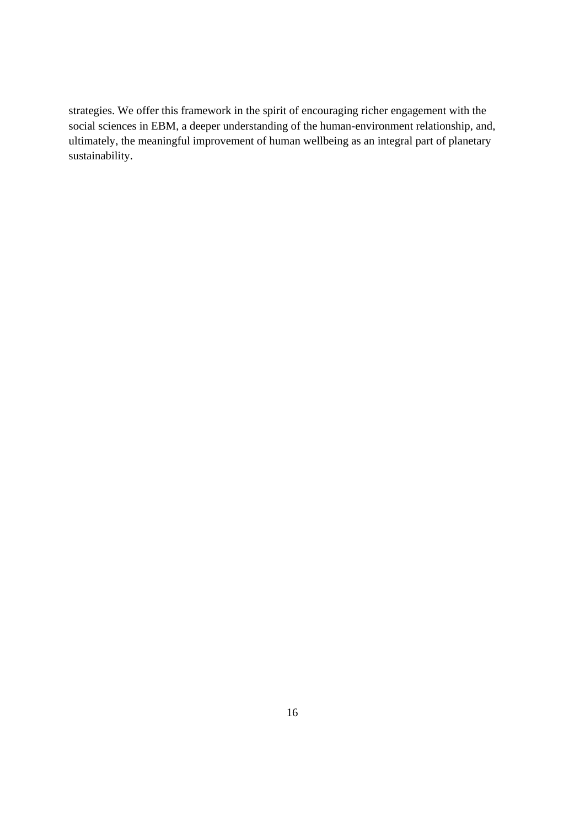strategies. We offer this framework in the spirit of encouraging richer engagement with the social sciences in EBM, a deeper understanding of the human-environment relationship, and, ultimately, the meaningful improvement of human wellbeing as an integral part of planetary sustainability.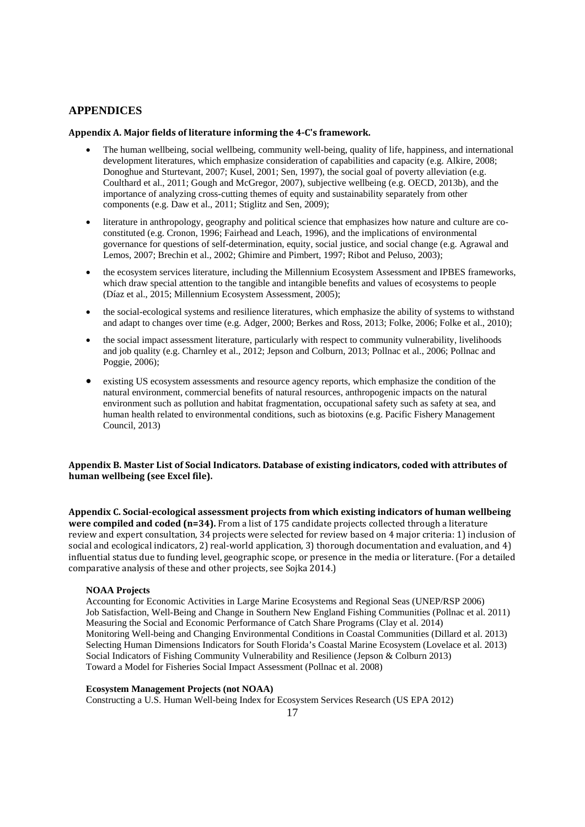### **APPENDICES**

#### **Appendix A. Major fields of literature informing the 4‐C's framework.**

- The human wellbeing, social wellbeing, community well-being, quality of life, happiness, and international development literatures, which emphasize consideration of capabilities and capacity (e.g. Alkire, 2008; Donoghue and Sturtevant, 2007; Kusel, 2001; Sen, 1997), the social goal of poverty alleviation (e.g. Coulthard et al., 2011; Gough and McGregor, 2007), subjective wellbeing (e.g. OECD, 2013b), and the importance of analyzing cross-cutting themes of equity and sustainability separately from other components (e.g. Daw et al., 2011; Stiglitz and Sen, 2009);
- literature in anthropology, geography and political science that emphasizes how nature and culture are coconstituted (e.g. Cronon, 1996; Fairhead and Leach, 1996), and the implications of environmental governance for questions of self-determination, equity, social justice, and social change (e.g. Agrawal and Lemos, 2007; Brechin et al., 2002; Ghimire and Pimbert, 1997; Ribot and Peluso, 2003);
- the ecosystem services literature, including the Millennium Ecosystem Assessment and IPBES frameworks, which draw special attention to the tangible and intangible benefits and values of ecosystems to people (Díaz et al., 2015; Millennium Ecosystem Assessment, 2005);
- the social-ecological systems and resilience literatures, which emphasize the ability of systems to withstand and adapt to changes over time (e.g. Adger, 2000; Berkes and Ross, 2013; Folke, 2006; Folke et al., 2010);
- the social impact assessment literature, particularly with respect to community vulnerability, livelihoods and job quality (e.g. Charnley et al., 2012; Jepson and Colburn, 2013; Pollnac et al., 2006; Pollnac and Poggie, 2006);
- existing US ecosystem assessments and resource agency reports, which emphasize the condition of the natural environment, commercial benefits of natural resources, anthropogenic impacts on the natural environment such as pollution and habitat fragmentation, occupational safety such as safety at sea, and human health related to environmental conditions, such as biotoxins (e.g. Pacific Fishery Management Council, 2013)

#### **Appendix B. Master List of Social Indicators. Database of existing indicators, coded with attributes of human wellbeing (see Excel file).**

**Appendix C. Social‐ecological assessment projects from which existing indicators of human wellbeing were compiled and coded (n=34).** From a list of 175 candidate projects collected through a literature review and expert consultation, 34 projects were selected for review based on 4 major criteria: 1) inclusion of social and ecological indicators, 2) real-world application, 3) thorough documentation and evaluation, and 4) influential status due to funding level, geographic scope, or presence in the media or literature. (For a detailed comparative analysis of these and other projects, see Sojka 2014.)

#### **NOAA Projects**

Accounting for Economic Activities in Large Marine Ecosystems and Regional Seas (UNEP/RSP 2006) Job Satisfaction, Well-Being and Change in Southern New England Fishing Communities (Pollnac et al. 2011) Measuring the Social and Economic Performance of Catch Share Programs (Clay et al. 2014) Monitoring Well-being and Changing Environmental Conditions in Coastal Communities (Dillard et al. 2013) Selecting Human Dimensions Indicators for South Florida's Coastal Marine Ecosystem (Lovelace et al. 2013) Social Indicators of Fishing Community Vulnerability and Resilience (Jepson & Colburn 2013) Toward a Model for Fisheries Social Impact Assessment (Pollnac et al. 2008)

#### **Ecosystem Management Projects (not NOAA)**

Constructing a U.S. Human Well-being Index for Ecosystem Services Research (US EPA 2012)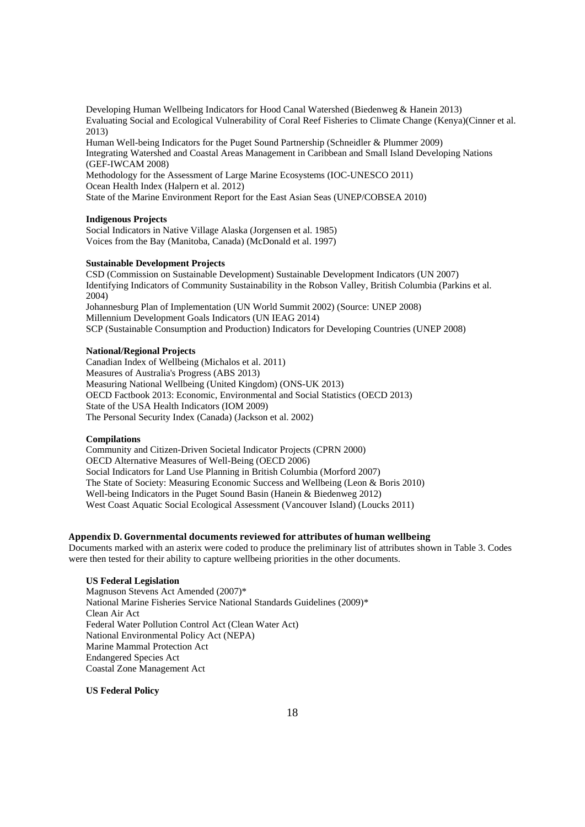Developing Human Wellbeing Indicators for Hood Canal Watershed (Biedenweg & Hanein 2013) Evaluating Social and Ecological Vulnerability of Coral Reef Fisheries to Climate Change (Kenya)(Cinner et al. 2013)

Human Well-being Indicators for the Puget Sound Partnership (Schneidler & Plummer 2009) Integrating Watershed and Coastal Areas Management in Caribbean and Small Island Developing Nations (GEF-IWCAM 2008) Methodology for the Assessment of Large Marine Ecosystems (IOC-UNESCO 2011)

Ocean Health Index (Halpern et al. 2012)

State of the Marine Environment Report for the East Asian Seas (UNEP/COBSEA 2010)

#### **Indigenous Projects**

Social Indicators in Native Village Alaska (Jorgensen et al. 1985) Voices from the Bay (Manitoba, Canada) (McDonald et al. 1997)

#### **Sustainable Development Projects**

CSD (Commission on Sustainable Development) Sustainable Development Indicators (UN 2007) Identifying Indicators of Community Sustainability in the Robson Valley, British Columbia (Parkins et al. 2004) Johannesburg Plan of Implementation (UN World Summit 2002) (Source: UNEP 2008) Millennium Development Goals Indicators (UN IEAG 2014)

SCP (Sustainable Consumption and Production) Indicators for Developing Countries (UNEP 2008)

#### **National/Regional Projects**

Canadian Index of Wellbeing (Michalos et al. 2011) Measures of Australia's Progress (ABS 2013) Measuring National Wellbeing (United Kingdom) (ONS-UK 2013) OECD Factbook 2013: Economic, Environmental and Social Statistics (OECD 2013) State of the USA Health Indicators (IOM 2009) The Personal Security Index (Canada) (Jackson et al. 2002)

#### **Compilations**

Community and Citizen-Driven Societal Indicator Projects (CPRN 2000) OECD Alternative Measures of Well-Being (OECD 2006) Social Indicators for Land Use Planning in British Columbia (Morford 2007) The State of Society: Measuring Economic Success and Wellbeing (Leon & Boris 2010) Well-being Indicators in the Puget Sound Basin (Hanein & Biedenweg 2012) West Coast Aquatic Social Ecological Assessment (Vancouver Island) (Loucks 2011)

#### **Appendix D. Governmental documents reviewed for attributes of human wellbeing**

Documents marked with an asterix were coded to produce the preliminary list of attributes shown in Table 3. Codes were then tested for their ability to capture wellbeing priorities in the other documents.

#### **US Federal Legislation**

Magnuson Stevens Act Amended (2007)\* National Marine Fisheries Service National Standards Guidelines (2009)\* Clean Air Act Federal Water Pollution Control Act (Clean Water Act) National Environmental Policy Act (NEPA) Marine Mammal Protection Act Endangered Species Act Coastal Zone Management Act

**US Federal Policy**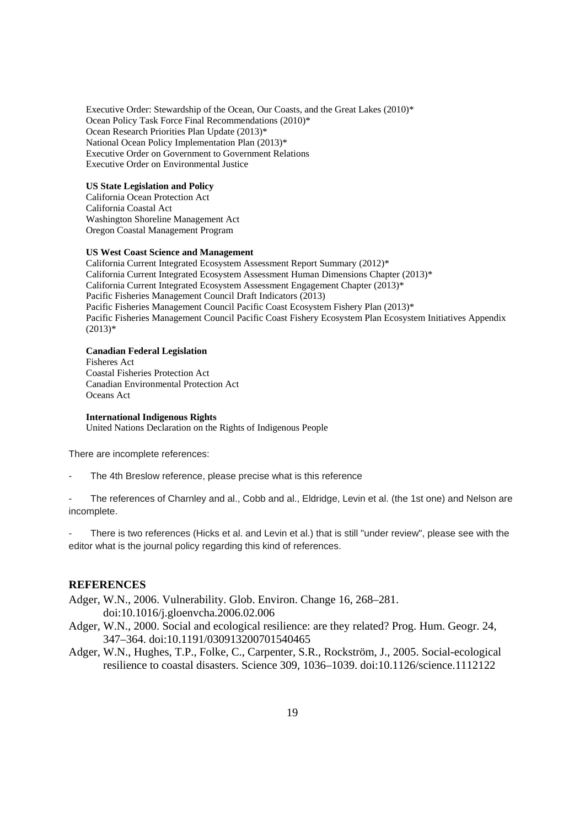Executive Order: Stewardship of the Ocean, Our Coasts, and the Great Lakes (2010)\* Ocean Policy Task Force Final Recommendations (2010)\* Ocean Research Priorities Plan Update (2013)\* National Ocean Policy Implementation Plan (2013)\* Executive Order on Government to Government Relations Executive Order on Environmental Justice

#### **US State Legislation and Policy**

California Ocean Protection Act California Coastal Act Washington Shoreline Management Act Oregon Coastal Management Program

#### **US West Coast Science and Management**

California Current Integrated Ecosystem Assessment Report Summary (2012)\* California Current Integrated Ecosystem Assessment Human Dimensions Chapter (2013)\* California Current Integrated Ecosystem Assessment Engagement Chapter (2013)\* Pacific Fisheries Management Council Draft Indicators (2013) Pacific Fisheries Management Council Pacific Coast Ecosystem Fishery Plan (2013)\* Pacific Fisheries Management Council Pacific Coast Fishery Ecosystem Plan Ecosystem Initiatives Appendix  $(2013)*$ 

#### **Canadian Federal Legislation**

Fisheres Act Coastal Fisheries Protection Act Canadian Environmental Protection Act Oceans Act

**International Indigenous Rights**  United Nations Declaration on the Rights of Indigenous People

There are incomplete references:

The 4th Breslow reference, please precise what is this reference

The references of Charnley and al., Cobb and al., Eldridge, Levin et al. (the 1st one) and Nelson are incomplete.

There is two references (Hicks et al. and Levin et al.) that is still "under review", please see with the editor what is the journal policy regarding this kind of references.

## **REFERENCES**

Adger, W.N., 2006. Vulnerability. Glob. Environ. Change 16, 268–281. doi:10.1016/j.gloenvcha.2006.02.006

- Adger, W.N., 2000. Social and ecological resilience: are they related? Prog. Hum. Geogr. 24, 347–364. doi:10.1191/030913200701540465
- Adger, W.N., Hughes, T.P., Folke, C., Carpenter, S.R., Rockström, J., 2005. Social-ecological resilience to coastal disasters. Science 309, 1036–1039. doi:10.1126/science.1112122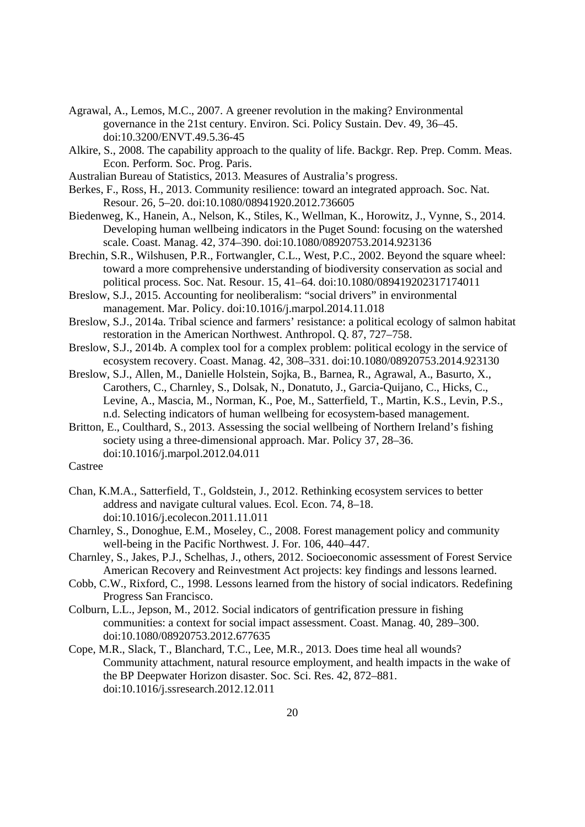- Agrawal, A., Lemos, M.C., 2007. A greener revolution in the making? Environmental governance in the 21st century. Environ. Sci. Policy Sustain. Dev. 49, 36–45. doi:10.3200/ENVT.49.5.36-45
- Alkire, S., 2008. The capability approach to the quality of life. Backgr. Rep. Prep. Comm. Meas. Econ. Perform. Soc. Prog. Paris.
- Australian Bureau of Statistics, 2013. Measures of Australia's progress.
- Berkes, F., Ross, H., 2013. Community resilience: toward an integrated approach. Soc. Nat. Resour. 26, 5–20. doi:10.1080/08941920.2012.736605
- Biedenweg, K., Hanein, A., Nelson, K., Stiles, K., Wellman, K., Horowitz, J., Vynne, S., 2014. Developing human wellbeing indicators in the Puget Sound: focusing on the watershed scale. Coast. Manag. 42, 374–390. doi:10.1080/08920753.2014.923136
- Brechin, S.R., Wilshusen, P.R., Fortwangler, C.L., West, P.C., 2002. Beyond the square wheel: toward a more comprehensive understanding of biodiversity conservation as social and political process. Soc. Nat. Resour. 15, 41–64. doi:10.1080/089419202317174011
- Breslow, S.J., 2015. Accounting for neoliberalism: "social drivers" in environmental management. Mar. Policy. doi:10.1016/j.marpol.2014.11.018
- Breslow, S.J., 2014a. Tribal science and farmers' resistance: a political ecology of salmon habitat restoration in the American Northwest. Anthropol. Q. 87, 727–758.
- Breslow, S.J., 2014b. A complex tool for a complex problem: political ecology in the service of ecosystem recovery. Coast. Manag. 42, 308–331. doi:10.1080/08920753.2014.923130
- Breslow, S.J., Allen, M., Danielle Holstein, Sojka, B., Barnea, R., Agrawal, A., Basurto, X., Carothers, C., Charnley, S., Dolsak, N., Donatuto, J., Garcia-Quijano, C., Hicks, C., Levine, A., Mascia, M., Norman, K., Poe, M., Satterfield, T., Martin, K.S., Levin, P.S., n.d. Selecting indicators of human wellbeing for ecosystem-based management.
- Britton, E., Coulthard, S., 2013. Assessing the social wellbeing of Northern Ireland's fishing society using a three-dimensional approach. Mar. Policy 37, 28–36. doi:10.1016/j.marpol.2012.04.011
- Castree
- Chan, K.M.A., Satterfield, T., Goldstein, J., 2012. Rethinking ecosystem services to better address and navigate cultural values. Ecol. Econ. 74, 8–18. doi:10.1016/j.ecolecon.2011.11.011
- Charnley, S., Donoghue, E.M., Moseley, C., 2008. Forest management policy and community well-being in the Pacific Northwest. J. For. 106, 440–447.
- Charnley, S., Jakes, P.J., Schelhas, J., others, 2012. Socioeconomic assessment of Forest Service American Recovery and Reinvestment Act projects: key findings and lessons learned.
- Cobb, C.W., Rixford, C., 1998. Lessons learned from the history of social indicators. Redefining Progress San Francisco.
- Colburn, L.L., Jepson, M., 2012. Social indicators of gentrification pressure in fishing communities: a context for social impact assessment. Coast. Manag. 40, 289–300. doi:10.1080/08920753.2012.677635
- Cope, M.R., Slack, T., Blanchard, T.C., Lee, M.R., 2013. Does time heal all wounds? Community attachment, natural resource employment, and health impacts in the wake of the BP Deepwater Horizon disaster. Soc. Sci. Res. 42, 872–881. doi:10.1016/j.ssresearch.2012.12.011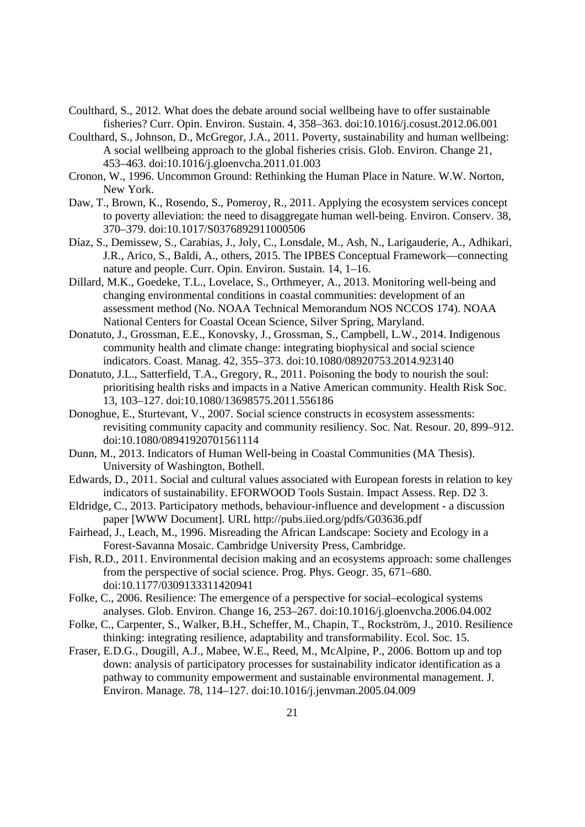- Coulthard, S., 2012. What does the debate around social wellbeing have to offer sustainable fisheries? Curr. Opin. Environ. Sustain. 4, 358–363. doi:10.1016/j.cosust.2012.06.001
- Coulthard, S., Johnson, D., McGregor, J.A., 2011. Poverty, sustainability and human wellbeing: A social wellbeing approach to the global fisheries crisis. Glob. Environ. Change 21, 453–463. doi:10.1016/j.gloenvcha.2011.01.003
- Cronon, W., 1996. Uncommon Ground: Rethinking the Human Place in Nature. W.W. Norton, New York.
- Daw, T., Brown, K., Rosendo, S., Pomeroy, R., 2011. Applying the ecosystem services concept to poverty alleviation: the need to disaggregate human well-being. Environ. Conserv. 38, 370–379. doi:10.1017/S0376892911000506
- Díaz, S., Demissew, S., Carabias, J., Joly, C., Lonsdale, M., Ash, N., Larigauderie, A., Adhikari, J.R., Arico, S., Baldi, A., others, 2015. The IPBES Conceptual Framework—connecting nature and people. Curr. Opin. Environ. Sustain. 14, 1–16.
- Dillard, M.K., Goedeke, T.L., Lovelace, S., Orthmeyer, A., 2013. Monitoring well-being and changing environmental conditions in coastal communities: development of an assessment method (No. NOAA Technical Memorandum NOS NCCOS 174). NOAA National Centers for Coastal Ocean Science, Silver Spring, Maryland.
- Donatuto, J., Grossman, E.E., Konovsky, J., Grossman, S., Campbell, L.W., 2014. Indigenous community health and climate change: integrating biophysical and social science indicators. Coast. Manag. 42, 355–373. doi:10.1080/08920753.2014.923140
- Donatuto, J.L., Satterfield, T.A., Gregory, R., 2011. Poisoning the body to nourish the soul: prioritising health risks and impacts in a Native American community. Health Risk Soc. 13, 103–127. doi:10.1080/13698575.2011.556186
- Donoghue, E., Sturtevant, V., 2007. Social science constructs in ecosystem assessments: revisiting community capacity and community resiliency. Soc. Nat. Resour. 20, 899–912. doi:10.1080/08941920701561114
- Dunn, M., 2013. Indicators of Human Well-being in Coastal Communities (MA Thesis). University of Washington, Bothell.
- Edwards, D., 2011. Social and cultural values associated with European forests in relation to key indicators of sustainability. EFORWOOD Tools Sustain. Impact Assess. Rep. D2 3.
- Eldridge, C., 2013. Participatory methods, behaviour-influence and development a discussion paper [WWW Document]. URL http://pubs.iied.org/pdfs/G03636.pdf
- Fairhead, J., Leach, M., 1996. Misreading the African Landscape: Society and Ecology in a Forest-Savanna Mosaic. Cambridge University Press, Cambridge.
- Fish, R.D., 2011. Environmental decision making and an ecosystems approach: some challenges from the perspective of social science. Prog. Phys. Geogr. 35, 671–680. doi:10.1177/0309133311420941
- Folke, C., 2006. Resilience: The emergence of a perspective for social–ecological systems analyses. Glob. Environ. Change 16, 253–267. doi:10.1016/j.gloenvcha.2006.04.002
- Folke, C., Carpenter, S., Walker, B.H., Scheffer, M., Chapin, T., Rockström, J., 2010. Resilience thinking: integrating resilience, adaptability and transformability. Ecol. Soc. 15.
- Fraser, E.D.G., Dougill, A.J., Mabee, W.E., Reed, M., McAlpine, P., 2006. Bottom up and top down: analysis of participatory processes for sustainability indicator identification as a pathway to community empowerment and sustainable environmental management. J. Environ. Manage. 78, 114–127. doi:10.1016/j.jenvman.2005.04.009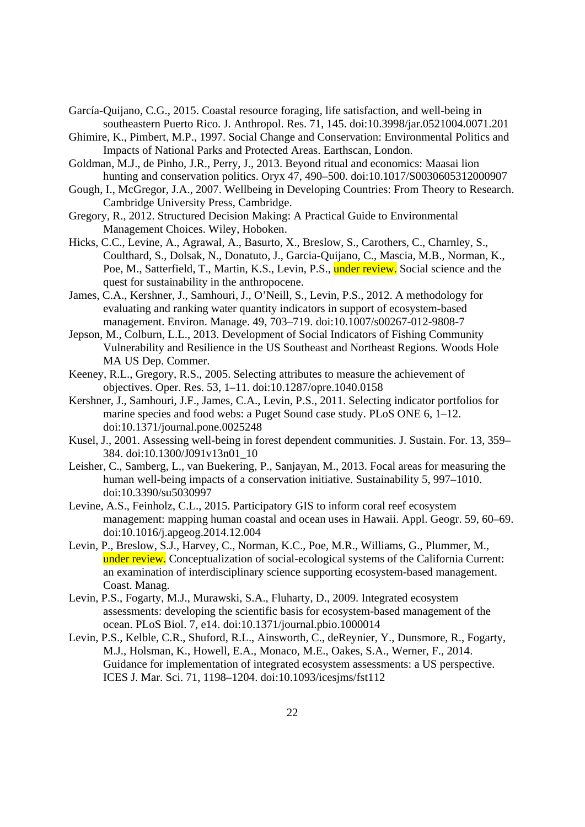- García-Quijano, C.G., 2015. Coastal resource foraging, life satisfaction, and well-being in southeastern Puerto Rico. J. Anthropol. Res. 71, 145. doi:10.3998/jar.0521004.0071.201
- Ghimire, K., Pimbert, M.P., 1997. Social Change and Conservation: Environmental Politics and Impacts of National Parks and Protected Areas. Earthscan, London.
- Goldman, M.J., de Pinho, J.R., Perry, J., 2013. Beyond ritual and economics: Maasai lion hunting and conservation politics. Oryx 47, 490–500. doi:10.1017/S0030605312000907
- Gough, I., McGregor, J.A., 2007. Wellbeing in Developing Countries: From Theory to Research. Cambridge University Press, Cambridge.
- Gregory, R., 2012. Structured Decision Making: A Practical Guide to Environmental Management Choices. Wiley, Hoboken.
- Hicks, C.C., Levine, A., Agrawal, A., Basurto, X., Breslow, S., Carothers, C., Charnley, S., Coulthard, S., Dolsak, N., Donatuto, J., Garcia-Quijano, C., Mascia, M.B., Norman, K., Poe, M., Satterfield, T., Martin, K.S., Levin, P.S., under review. Social science and the quest for sustainability in the anthropocene.
- James, C.A., Kershner, J., Samhouri, J., O'Neill, S., Levin, P.S., 2012. A methodology for evaluating and ranking water quantity indicators in support of ecosystem-based management. Environ. Manage. 49, 703–719. doi:10.1007/s00267-012-9808-7
- Jepson, M., Colburn, L.L., 2013. Development of Social Indicators of Fishing Community Vulnerability and Resilience in the US Southeast and Northeast Regions. Woods Hole MA US Dep. Commer.
- Keeney, R.L., Gregory, R.S., 2005. Selecting attributes to measure the achievement of objectives. Oper. Res. 53, 1–11. doi:10.1287/opre.1040.0158
- Kershner, J., Samhouri, J.F., James, C.A., Levin, P.S., 2011. Selecting indicator portfolios for marine species and food webs: a Puget Sound case study. PLoS ONE 6, 1–12. doi:10.1371/journal.pone.0025248
- Kusel, J., 2001. Assessing well-being in forest dependent communities. J. Sustain. For. 13, 359– 384. doi:10.1300/J091v13n01\_10
- Leisher, C., Samberg, L., van Buekering, P., Sanjayan, M., 2013. Focal areas for measuring the human well-being impacts of a conservation initiative. Sustainability 5, 997–1010. doi:10.3390/su5030997
- Levine, A.S., Feinholz, C.L., 2015. Participatory GIS to inform coral reef ecosystem management: mapping human coastal and ocean uses in Hawaii. Appl. Geogr. 59, 60–69. doi:10.1016/j.apgeog.2014.12.004
- Levin, P., Breslow, S.J., Harvey, C., Norman, K.C., Poe, M.R., Williams, G., Plummer, M., under review. Conceptualization of social-ecological systems of the California Current: an examination of interdisciplinary science supporting ecosystem-based management. Coast. Manag.
- Levin, P.S., Fogarty, M.J., Murawski, S.A., Fluharty, D., 2009. Integrated ecosystem assessments: developing the scientific basis for ecosystem-based management of the ocean. PLoS Biol. 7, e14. doi:10.1371/journal.pbio.1000014
- Levin, P.S., Kelble, C.R., Shuford, R.L., Ainsworth, C., deReynier, Y., Dunsmore, R., Fogarty, M.J., Holsman, K., Howell, E.A., Monaco, M.E., Oakes, S.A., Werner, F., 2014. Guidance for implementation of integrated ecosystem assessments: a US perspective. ICES J. Mar. Sci. 71, 1198–1204. doi:10.1093/icesjms/fst112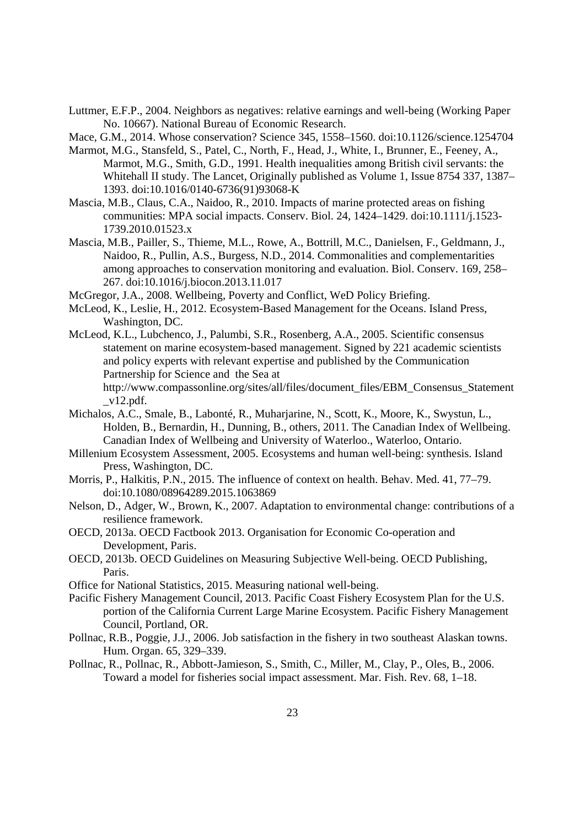Luttmer, E.F.P., 2004. Neighbors as negatives: relative earnings and well-being (Working Paper No. 10667). National Bureau of Economic Research.

Mace, G.M., 2014. Whose conservation? Science 345, 1558–1560. doi:10.1126/science.1254704

- Marmot, M.G., Stansfeld, S., Patel, C., North, F., Head, J., White, I., Brunner, E., Feeney, A., Marmot, M.G., Smith, G.D., 1991. Health inequalities among British civil servants: the Whitehall II study. The Lancet, Originally published as Volume 1, Issue 8754 337, 1387– 1393. doi:10.1016/0140-6736(91)93068-K
- Mascia, M.B., Claus, C.A., Naidoo, R., 2010. Impacts of marine protected areas on fishing communities: MPA social impacts. Conserv. Biol. 24, 1424–1429. doi:10.1111/j.1523- 1739.2010.01523.x
- Mascia, M.B., Pailler, S., Thieme, M.L., Rowe, A., Bottrill, M.C., Danielsen, F., Geldmann, J., Naidoo, R., Pullin, A.S., Burgess, N.D., 2014. Commonalities and complementarities among approaches to conservation monitoring and evaluation. Biol. Conserv. 169, 258– 267. doi:10.1016/j.biocon.2013.11.017
- McGregor, J.A., 2008. Wellbeing, Poverty and Conflict, WeD Policy Briefing.
- McLeod, K., Leslie, H., 2012. Ecosystem-Based Management for the Oceans. Island Press, Washington, DC.
- McLeod, K.L., Lubchenco, J., Palumbi, S.R., Rosenberg, A.A., 2005. Scientific consensus statement on marine ecosystem-based management. Signed by 221 academic scientists and policy experts with relevant expertise and published by the Communication Partnership for Science and the Sea at http://www.compassonline.org/sites/all/files/document\_files/EBM\_Consensus\_Statement
	- $_v12.pdf$ .
- Michalos, A.C., Smale, B., Labonté, R., Muharjarine, N., Scott, K., Moore, K., Swystun, L., Holden, B., Bernardin, H., Dunning, B., others, 2011. The Canadian Index of Wellbeing. Canadian Index of Wellbeing and University of Waterloo., Waterloo, Ontario.
- Millenium Ecosystem Assessment, 2005. Ecosystems and human well-being: synthesis. Island Press, Washington, DC.
- Morris, P., Halkitis, P.N., 2015. The influence of context on health. Behav. Med. 41, 77–79. doi:10.1080/08964289.2015.1063869
- Nelson, D., Adger, W., Brown, K., 2007. Adaptation to environmental change: contributions of a resilience framework.
- OECD, 2013a. OECD Factbook 2013. Organisation for Economic Co-operation and Development, Paris.
- OECD, 2013b. OECD Guidelines on Measuring Subjective Well-being. OECD Publishing, Paris.
- Office for National Statistics, 2015. Measuring national well-being.
- Pacific Fishery Management Council, 2013. Pacific Coast Fishery Ecosystem Plan for the U.S. portion of the California Current Large Marine Ecosystem. Pacific Fishery Management Council, Portland, OR.
- Pollnac, R.B., Poggie, J.J., 2006. Job satisfaction in the fishery in two southeast Alaskan towns. Hum. Organ. 65, 329–339.
- Pollnac, R., Pollnac, R., Abbott-Jamieson, S., Smith, C., Miller, M., Clay, P., Oles, B., 2006. Toward a model for fisheries social impact assessment. Mar. Fish. Rev. 68, 1–18.